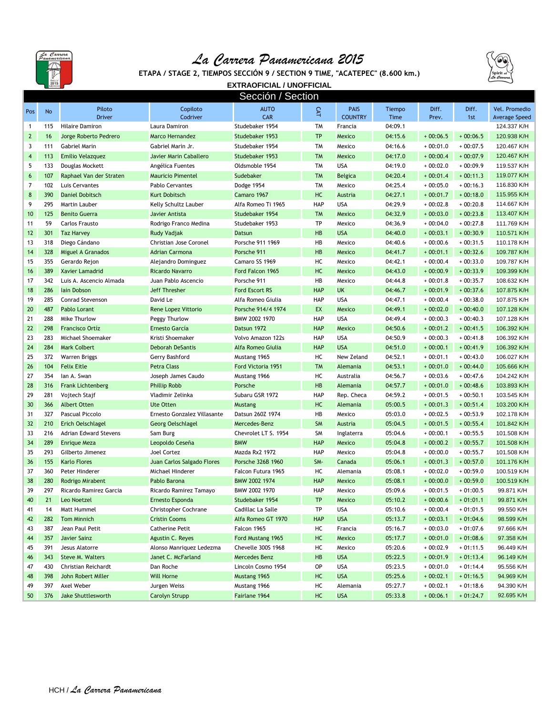

## *La Carrera Panamericana 2015*



**ETAPA / STAGE 2, TIEMPOS SECCIÓN 9 / SECTION 9 TIME, "ACATEPEC" (8.600 km.)**

**EXTRAOFICIAL / UNOFFICIAL** Sección / Section

|              |           |                           |                             | <u>Jerrini i nerini </u>  |            |                               |                |                |              |                                       |
|--------------|-----------|---------------------------|-----------------------------|---------------------------|------------|-------------------------------|----------------|----------------|--------------|---------------------------------------|
| Pos          | <b>No</b> | Piloto<br><b>Driver</b>   | Copiloto<br>Codriver        | <b>AUTO</b><br><b>CAR</b> | CAT        | <b>PAIS</b><br><b>COUNTRY</b> | Tiempo<br>Time | Diff.<br>Prev. | Diff.<br>1st | Vel. Promedio<br><b>Average Speed</b> |
| $\mathbf{1}$ | 115       | <b>Hilaire Damiron</b>    | Laura Damiron               | Studebaker 1954           | <b>TM</b>  | Francia                       | 04:09.1        |                |              | 124.337 K/H                           |
| $\mathbf{2}$ | 16        | Jorge Roberto Pedrero     | Marco Hernandez             | Studebaker 1953           | <b>TP</b>  | Mexico                        | 04:15.6        | $+00:06.5$     | $+00:06.5$   | 120.938 K/H                           |
| 3            | 111       | <b>Gabriel Marin</b>      | Gabriel Marin Jr.           | Studebaker 1954           | <b>TM</b>  | Mexico                        | 04:16.6        | $+00:01.0$     | $+00:07.5$   | 120.467 K/H                           |
| 4            | 113       | <b>Emilio Velazquez</b>   | Javier Marin Caballero      | Studebaker 1953           | <b>TM</b>  | <b>Mexico</b>                 | 04:17.0        | $+00:00.4$     | $+00:07.9$   | 120.467 K/H                           |
| 5            | 133       | Douglas Mockett           | Angélica Fuentes            | Oldsmoble 1954            | <b>TM</b>  | <b>USA</b>                    | 04:19.0        | $+00:02.0$     | $+00:09.9$   | 119.537 K/H                           |
| 6            | 107       | Raphael Van der Straten   | <b>Mauricio Pimentel</b>    | Sudebaker                 | <b>TM</b>  | <b>Belgica</b>                | 04:20.4        | $+00:01.4$     | $+00:11.3$   | 119.077 K/H                           |
| 7            | 102       | Luis Cervantes            | <b>Pablo Cervantes</b>      | Dodge 1954                | <b>TM</b>  | Mexico                        | 04:25.4        | $+00:05.0$     | $+00:16.3$   | 116.830 K/H                           |
| 8            | 390       | <b>Daniel Dobitsch</b>    | <b>Kurt Dobitsch</b>        | Camaro 1967               | HC         | Austria                       | 04:27.1        | $+00:01.7$     | $+00:18.0$   | 115.955 K/H                           |
| 9            | 295       | Martin Lauber             | Kelly Schultz Lauber        | Alfa Romeo Ti 1965        | HAP        | <b>USA</b>                    | 04:29.9        | $+00:02.8$     | $+00:20.8$   | 114.667 K/H                           |
| 10           | 125       | <b>Benito Guerra</b>      | Javier Antista              | Studebaker 1954           | <b>TM</b>  | <b>Mexico</b>                 | 04:32.9        | $+00:03.0$     | $+00:23.8$   | 113.407 K/H                           |
| 11           | 59        | Carlos Frausto            | Rodrigo Franco Medina       | Studebaker 1953           | TP         | Mexico                        | 04:36.9        | $+00:04.0$     | $+00:27.8$   | 111.769 K/H                           |
| 12           | 301       | <b>Taz Harvey</b>         | Rudy Vadjak                 | <b>Datsun</b>             | HB         | <b>USA</b>                    | 04:40.0        | $+00:03.1$     | $+00:30.9$   | 110.571 K/H                           |
| 13           | 318       | Diego Cándano             | Christian Jose Coronel      | Porsche 911 1969          | HB         | Mexico                        | 04:40.6        | $+00:00.6$     | $+00:31.5$   | 110.178 K/H                           |
| 14           | 328       | <b>Miguel A Granados</b>  | <b>Adrian Carmona</b>       | Porsche 911               | HB         | <b>Mexico</b>                 | 04:41.7        | $+00:01.1$     | $+00:32.6$   | 109.787 K/H                           |
| 15           | 355       | Gerardo Rejon             | Alejandro Dominguez         | Camaro SS 1969            | HC         | Mexico                        | 04:42.1        | $+00:00.4$     | $+00:33.0$   | 109.787 K/H                           |
| 16           | 389       | <b>Xavier Lamadrid</b>    | Ricardo Navarro             | Ford Falcon 1965          | HC         | <b>Mexico</b>                 | 04:43.0        | $+00:00.9$     | $+00:33.9$   | 109.399 K/H                           |
| 17           | 342       | Luis A. Ascencio Almada   | Juan Pablo Ascencio         | Porsche 911               | HB         | Mexico                        | 04:44.8        | $+00:01.8$     | $+00:35.7$   | 108.632 K/H                           |
| 18           | 286       | lain Dobson               | Jeff Thresher               | <b>Ford Escort RS</b>     | <b>HAP</b> | <b>UK</b>                     | 04:46.7        | $+00:01.9$     | $+00:37.6$   | 107.875 K/H                           |
| 19           | 285       | Conrad Stevenson          | David Le                    | Alfa Romeo Giulia         | <b>HAP</b> | <b>USA</b>                    | 04:47.1        | $+00:00.4$     | $+00:38.0$   | 107.875 K/H                           |
| 20           | 487       | Pablo Lorant              | <b>Rene Lopez Vittorio</b>  | Porsche 914/4 1974        | EX         | <b>Mexico</b>                 | 04:49.1        | $+00:02.0$     | $+00:40.0$   | 107.128 K/H                           |
| 21           | 288       | Mike Thurlow              | Peggy Thurlow               | BMW 2002 1970             | <b>HAP</b> | <b>USA</b>                    | 04:49.4        | $+00:00.3$     | $+00:40.3$   | 107.128 K/H                           |
| 22           | 298       | <b>Francisco Ortíz</b>    | Ernesto García              | Datsun 1972               | <b>HAP</b> | <b>Mexico</b>                 | 04:50.6        | $+00:01.2$     | $+00:41.5$   | 106.392 K/H                           |
| 23           | 283       | Michael Shoemaker         | Kristi Shoemaker            | Volvo Amazon 122s         | <b>HAP</b> | <b>USA</b>                    | 04:50.9        | $+00:00.3$     | $+00:41.8$   | 106.392 K/H                           |
| 24           | 284       | <b>Mark Colbert</b>       | <b>Deborah DeSantis</b>     | Alfa Romeo Giulia         | <b>HAP</b> | <b>USA</b>                    | 04:51.0        | $+00:00.1$     | $+00:41.9$   | 106.392 K/H                           |
| 25           | 372       | <b>Warren Briggs</b>      | Gerry Bashford              | Mustang 1965              | HC         | New Zeland                    | 04:52.1        | $+00:01.1$     | $+00:43.0$   | 106.027 K/H                           |
| 26           | 104       | <b>Felix Eitle</b>        | <b>Petra Class</b>          | Ford Victoria 1951        | <b>TM</b>  | Alemania                      | 04:53.1        | $+00:01.0$     | $+00:44.0$   | 105.666 K/H                           |
| 27           | 354       | lan A. Swan               | Joseph James Caudo          | Mustang 1966              | HC         | Australia                     | 04:56.7        | $+00:03.6$     | $+00:47.6$   | 104.242 K/H                           |
| 28           | 316       | <b>Frank Lichtenberg</b>  | <b>Phillip Robb</b>         | Porsche                   | HB         | Alemania                      | 04:57.7        | $+00:01.0$     | $+00:48.6$   | 103.893 K/H                           |
| 29           | 281       | Vojtech Stajf             | Vladimir Zelinka            | Subaru GSR 1972           | HAP        | Rep. Checa                    | 04:59.2        | $+00:01.5$     | $+00:50.1$   | 103.545 K/H                           |
| 30           | 366       | <b>Albert Otten</b>       | <b>Ute Otten</b>            | <b>Mustang</b>            | HC         | Alemania                      | 05:00.5        | $+00:01.3$     | $+00:51.4$   | 103.200 K/H                           |
| 31           | 327       | Pascual Piccolo           | Ernesto Gonzalez Villasante | Datsun 260Z 1974          | HB         | Mexico                        | 05:03.0        | $+00:02.5$     | $+00:53.9$   | 102.178 K/H                           |
| 32           | 210       | <b>Erich Oelschlagel</b>  | <b>Georg Oelschlagel</b>    | Mercedes-Benz             | <b>SM</b>  | Austria                       | 05:04.5        | $+00:01.5$     | $+00:55.4$   | 101.842 K/H                           |
| 33           | 216       | Adrian Edward Stevens     | Sam Burg                    | Chevrolet LT S. 1954      | <b>SM</b>  | Inglaterra                    | 05:04.6        | $+00:00.1$     | $+00:55.5$   | 101.508 K/H                           |
| 34           | 289       | <b>Enrique Meza</b>       | Leopoldo Ceseña             | <b>BMW</b>                | <b>HAP</b> | <b>Mexico</b>                 | 05:04.8        | $+00:00.2$     | $+00:55.7$   | 101.508 K/H                           |
| 35           | 293       | Gilberto Jimenez          | Joel Cortez                 | Mazda Rx2 1972            | <b>HAP</b> | Mexico                        | 05:04.8        | $+00:00.0$     | $+00:55.7$   | 101.508 K/H                           |
| 36           | 155       | <b>Karlo Flores</b>       | Juan Carlos Salgado Flores  | Porsche 326B 1960         | SM-        | Canada                        | 05:06.1        | $+00:01.3$     | $+00:57.0$   | 101.176 K/H                           |
| 37           | 360       | Peter Hinderer            | Michael Hinderer            | Falcon Futura 1965        | HC         | Alemania                      | 05:08.1        | $+00:02.0$     | $+00:59.0$   | 100.519 K/H                           |
| 38           | 280       | Rodrigo Mirabent          | Pablo Barona                | BMW 2002 1974             | <b>HAP</b> | <b>Mexico</b>                 | 05:08.1        | $+00:00.0$     | $+00:59.0$   | 100.519 K/H                           |
| 39           | 297       | Ricardo Ramirez Garcia    | Ricardo Ramirez Tamayo      | BMW 2002 1970             | <b>HAP</b> | Mexico                        | 05:09.6        | $+00:01.5$     | $+01:00.5$   | 99.871 K/H                            |
| 40           | 21        | Leo Noetzel               | Ernesto Esponda             | Studebaker 1954           | <b>TP</b>  | <b>Mexico</b>                 | 05:10.2        | $+00:00.6$     | $+01:01.1$   | 99.871 K/H                            |
| 41           | 14        | Matt Hummel               | Christopher Cochrane        | Cadillac La Salle         | TP         | <b>USA</b>                    | 05:10.6        | $+00:00.4$     | $+01:01.5$   | 99.550 K/H                            |
| 42           | 282       | <b>Tom Minnich</b>        | <b>Cristin Cooms</b>        | Alfa Romeo GT 1970        | <b>HAP</b> | <b>USA</b>                    | 05:13.7        | $+00:03.1$     | $+01:04.6$   | 98.599 K/H                            |
| 43           | 387       | Jean Paul Petit           | <b>Catherine Petit</b>      | Falcon 1965               | HC         | Francia                       | 05:16.7        | $+00:03.0$     | $+01:07.6$   | 97.666 K/H                            |
| 44           | 357       | <b>Javier Sainz</b>       | Agustin C. Reyes            | Ford Mustang 1965         | HC         | Mexico                        | 05:17.7        | $+00:01.0$     | $+01:08.6$   | 97.358 K/H                            |
| 45           | 391       | Jesus Alatorre            | Alonso Manriquez Ledezma    | Chevelle 300S 1968        | HC         | Mexico                        | 05:20.6        | $+00:02.9$     | $+01:11.5$   | 96.449 K/H                            |
| 46           | 343       | <b>Steve M. Walters</b>   | Janet C. McFarland          | <b>Mercedes Benz</b>      | HB         | <b>USA</b>                    | 05:22.5        | $+00:01.9$     | $+01:13.4$   | 96.149 K/H                            |
| 47           | 430       | Christian Reichardt       | Dan Roche                   | Lincoln Cosmo 1954        | OP         | <b>USA</b>                    | 05:23.5        | $+00:01.0$     | $+01:14.4$   | 95.556 K/H                            |
| 48           | 398       | John Robert Miller        | Will Horne                  | Mustang 1965              | HC         | <b>USA</b>                    | 05:25.6        | $+00:02.1$     | $+01:16.5$   | 94.969 K/H                            |
| 49           | 397       | Axel Weber                | Jurgen Weiss                | Mustang 1966              | HC         | Alemania                      | 05:27.7        | $+00:02.1$     | $+01:18.6$   | 94.390 K/H                            |
| 50           | 376       | <b>Jake Shuttlesworth</b> | <b>Carolyn Strupp</b>       | Fairlane 1964             | HC         | <b>USA</b>                    | 05:33.8        | $+00:06.1$     | $+01:24.7$   | 92.695 K/H                            |
|              |           |                           |                             |                           |            |                               |                |                |              |                                       |